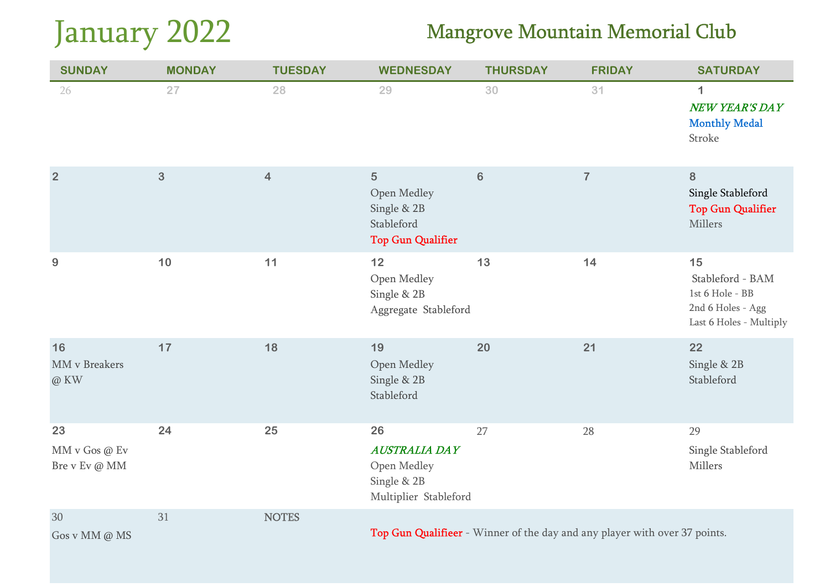# January 2022

| <b>SUNDAY</b>                        | <b>MONDAY</b> | <b>TUESDAY</b> | <b>WEDNESDAY</b>                                                                       | <b>THURSDAY</b> | <b>FRIDAY</b>                                                              | <b>SATURDAY</b>                                                                           |
|--------------------------------------|---------------|----------------|----------------------------------------------------------------------------------------|-----------------|----------------------------------------------------------------------------|-------------------------------------------------------------------------------------------|
| 26                                   | 27            | 28             | 29                                                                                     | 30              | 31                                                                         | $\mathbf 1$<br>NEW YEAR'S DAY<br><b>Monthly Medal</b><br>Stroke                           |
| $\overline{2}$                       | 3             | $\overline{4}$ | $\overline{5}$<br>Open Medley<br>Single & 2B<br>Stableford<br><b>Top Gun Qualifier</b> | $\bf 6$         | $\overline{7}$                                                             | 8<br>Single Stableford<br><b>Top Gun Qualifier</b><br>Millers                             |
| 9                                    | 10            | 11             | 12<br>Open Medley<br>Single & 2B<br>Aggregate Stableford                               | 13              | 14                                                                         | 15<br>Stableford - BAM<br>1st 6 Hole - BB<br>2nd 6 Holes - Agg<br>Last 6 Holes - Multiply |
| 16<br>MM v Breakers<br>@ KW          | 17            | 18             | 19<br>Open Medley<br>Single & 2B<br>Stableford                                         | 20              | 21                                                                         | 22<br>Single & 2B<br>Stableford                                                           |
| 23<br>MM v Gos @ Ev<br>Bre v Ev @ MM | 24            | 25             | 26<br><b>AUSTRALIA DAY</b><br>Open Medley<br>Single & 2B<br>Multiplier Stableford      | 27              | 28                                                                         | 29<br>Single Stableford<br>Millers                                                        |
| 30<br>Gos v MM @ MS                  | 31            | <b>NOTES</b>   |                                                                                        |                 | Top Gun Qualifieer - Winner of the day and any player with over 37 points. |                                                                                           |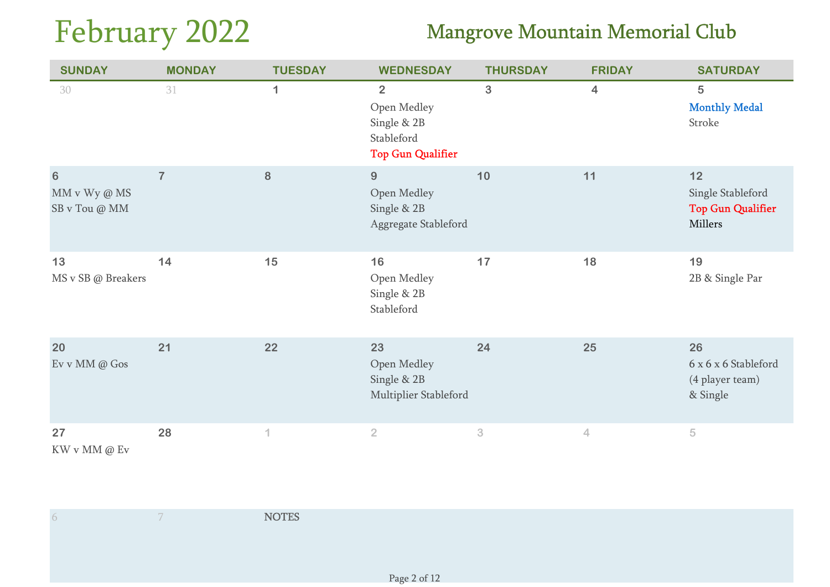# February 2022

| <b>SUNDAY</b>                                     | <b>MONDAY</b>  | <b>TUESDAY</b>   | <b>WEDNESDAY</b>                                                                       | <b>THURSDAY</b> | <b>FRIDAY</b>           | <b>SATURDAY</b>                                                  |
|---------------------------------------------------|----------------|------------------|----------------------------------------------------------------------------------------|-----------------|-------------------------|------------------------------------------------------------------|
| 30                                                | 31             | $\mathbf{1}$     | $\overline{2}$<br>Open Medley<br>Single & 2B<br>Stableford<br><b>Top Gun Qualifier</b> | 3               | $\overline{\mathbf{4}}$ | 5<br><b>Monthly Medal</b><br>Stroke                              |
| $\boldsymbol{6}$<br>MM v Wy @ MS<br>SB v Tou @ MM | $\overline{7}$ | 8                | $9\,$<br>Open Medley<br>Single & 2B<br>Aggregate Stableford                            | 10              | 11                      | $12$<br>Single Stableford<br><b>Top Gun Qualifier</b><br>Millers |
| 13<br>MS v SB @ Breakers                          | 14             | 15               | 16<br>Open Medley<br>Single & 2B<br>Stableford                                         | 17              | 18                      | 19<br>2B & Single Par                                            |
| 20<br>Ev v MM @ Gos                               | 21             | 22               | 23<br>Open Medley<br>Single & 2B<br>Multiplier Stableford                              | 24              | 25                      | 26<br>6 x 6 x 6 Stableford<br>(4 player team)<br>& Single        |
| 27<br>$\hbox{KW}\vee\hbox{MM}\otimes\hbox{Ev}$    | 28             | $\left  \right $ | $\overline{2}$                                                                         | $\sqrt{3}$      | $\overline{4}$          | 5                                                                |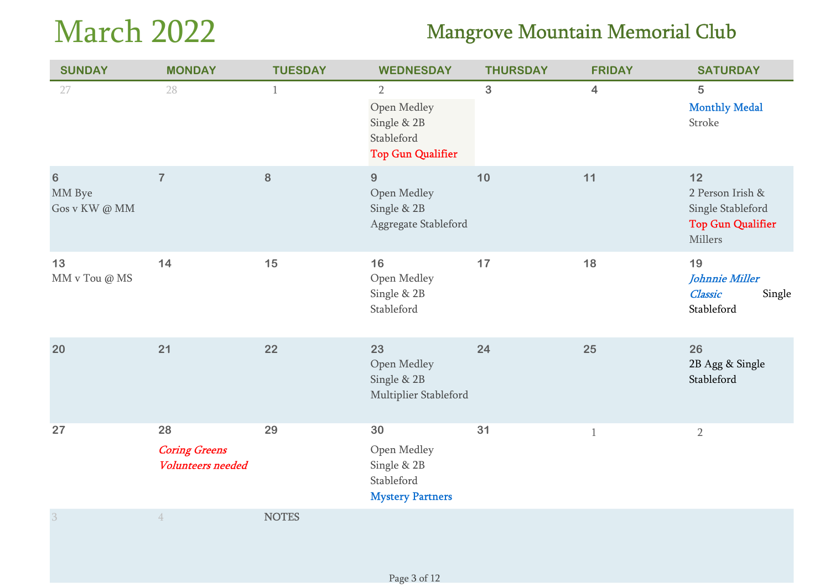# March 2022

| <b>SUNDAY</b>                      | <b>MONDAY</b>                                          | <b>TUESDAY</b> | <b>WEDNESDAY</b>                                                                       | <b>THURSDAY</b> | <b>FRIDAY</b>           | <b>SATURDAY</b>                                                                      |
|------------------------------------|--------------------------------------------------------|----------------|----------------------------------------------------------------------------------------|-----------------|-------------------------|--------------------------------------------------------------------------------------|
| 27                                 | 28                                                     | $\mathbf{1}$   | $\overline{2}$<br>Open Medley<br>Single & 2B<br>Stableford<br><b>Top Gun Qualifier</b> | 3               | $\overline{\mathbf{4}}$ | 5<br><b>Monthly Medal</b><br>Stroke                                                  |
| $\bf 6$<br>MM Bye<br>Gos v KW @ MM | $\overline{7}$                                         | 8              | 9<br>Open Medley<br>Single & 2B<br>Aggregate Stableford                                | 10              | 11                      | $12$<br>2 Person Irish &<br>Single Stableford<br><b>Top Gun Qualifier</b><br>Millers |
| 13<br>MM v Tou @ MS                | 14                                                     | 15             | 16<br>Open Medley<br>Single & 2B<br>Stableford                                         | 17              | 18                      | 19<br>Johnnie Miller<br><b>Classic</b><br>Single<br>Stableford                       |
| 20                                 | 21                                                     | 22             | 23<br>Open Medley<br>Single & 2B<br>Multiplier Stableford                              | 24              | 25                      | 26<br>2B Agg & Single<br>Stableford                                                  |
| 27                                 | 28<br><b>Coring Greens</b><br><b>Volunteers needed</b> | 29             | 30<br>Open Medley<br>Single & 2B<br>Stableford<br><b>Mystery Partners</b>              | 31              | $\mathbf{1}$            | $\overline{2}$                                                                       |
| $\overline{3}$                     | $\overline{4}$                                         | <b>NOTES</b>   |                                                                                        |                 |                         |                                                                                      |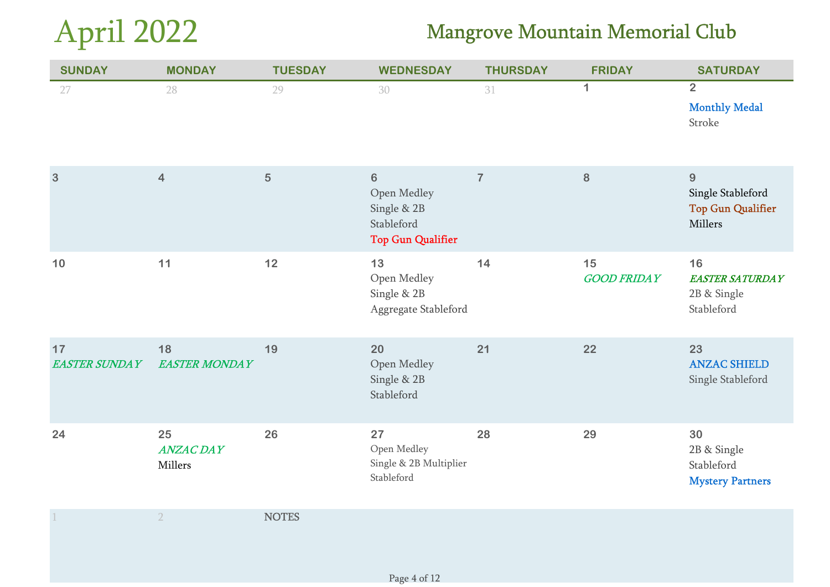# April 2022

| <b>SUNDAY</b>              | <b>MONDAY</b>                     | <b>TUESDAY</b> | <b>WEDNESDAY</b>                                                                | <b>THURSDAY</b> | <b>FRIDAY</b>            | <b>SATURDAY</b>                                               |
|----------------------------|-----------------------------------|----------------|---------------------------------------------------------------------------------|-----------------|--------------------------|---------------------------------------------------------------|
| 27                         | 28                                | 29             | 30                                                                              | 31              | $\mathbf{1}$             | $\overline{2}$<br><b>Monthly Medal</b><br>Stroke              |
| 3                          | $\overline{4}$                    | 5              | $\bf 6$<br>Open Medley<br>Single & 2B<br>Stableford<br><b>Top Gun Qualifier</b> | $\overline{7}$  | 8                        | 9<br>Single Stableford<br><b>Top Gun Qualifier</b><br>Millers |
| 10                         | 11                                | $12$           | 13<br>Open Medley<br>Single & 2B<br>Aggregate Stableford                        | 14              | 15<br><b>GOOD FRIDAY</b> | 16<br><b>EASTER SATURDAY</b><br>2B & Single<br>Stableford     |
| 17<br><b>EASTER SUNDAY</b> | 18<br><b>EASTER MONDAY</b>        | 19             | 20<br>Open Medley<br>Single & 2B<br>Stableford                                  | 21              | 22                       | 23<br><b>ANZAC SHIELD</b><br>Single Stableford                |
| 24                         | 25<br><b>ANZAC DAY</b><br>Millers | 26             | 27<br>Open Medley<br>Single & 2B Multiplier<br>Stableford                       | 28              | 29                       | 30<br>2B & Single<br>Stableford<br><b>Mystery Partners</b>    |
|                            | $\overline{2}$                    | <b>NOTES</b>   |                                                                                 |                 |                          |                                                               |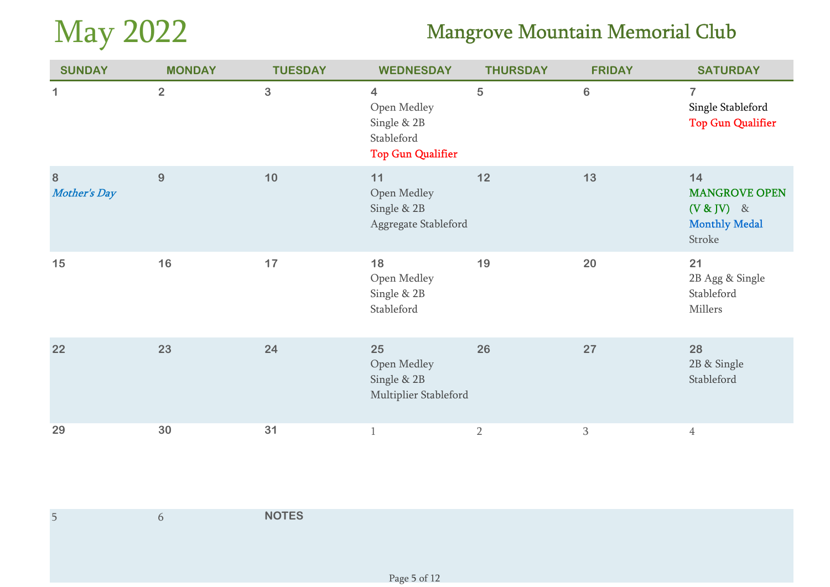# May 2022

| <b>SUNDAY</b>                   | <b>MONDAY</b>  | <b>TUESDAY</b> | <b>WEDNESDAY</b>                                                                                | <b>THURSDAY</b> | <b>FRIDAY</b>  | <b>SATURDAY</b>                                                              |
|---------------------------------|----------------|----------------|-------------------------------------------------------------------------------------------------|-----------------|----------------|------------------------------------------------------------------------------|
| 1                               | $\overline{2}$ | 3              | $\overline{\mathbf{4}}$<br>Open Medley<br>Single & 2B<br>Stableford<br><b>Top Gun Qualifier</b> | 5               | $6\phantom{1}$ | $\overline{7}$<br>Single Stableford<br><b>Top Gun Qualifier</b>              |
| $\bf{8}$<br><b>Mother's Day</b> | 9              | 10             | 11<br>Open Medley<br>Single & 2B<br>Aggregate Stableford                                        | 12              | 13             | 14<br><b>MANGROVE OPEN</b><br>$(V & IV)$ &<br><b>Monthly Medal</b><br>Stroke |
| 15                              | 16             | 17             | 18<br>Open Medley<br>Single & 2B<br>Stableford                                                  | 19              | 20             | 21<br>2B Agg & Single<br>Stableford<br>Millers                               |
| 22                              | 23             | 24             | 25<br>Open Medley<br>Single & 2B<br>Multiplier Stableford                                       | 26              | 27             | 28<br>2B & Single<br>Stableford                                              |
| 29                              | 30             | 31             | $\mathbf{1}$                                                                                    | $\overline{2}$  | $\mathbf{3}$   | $\overline{4}$                                                               |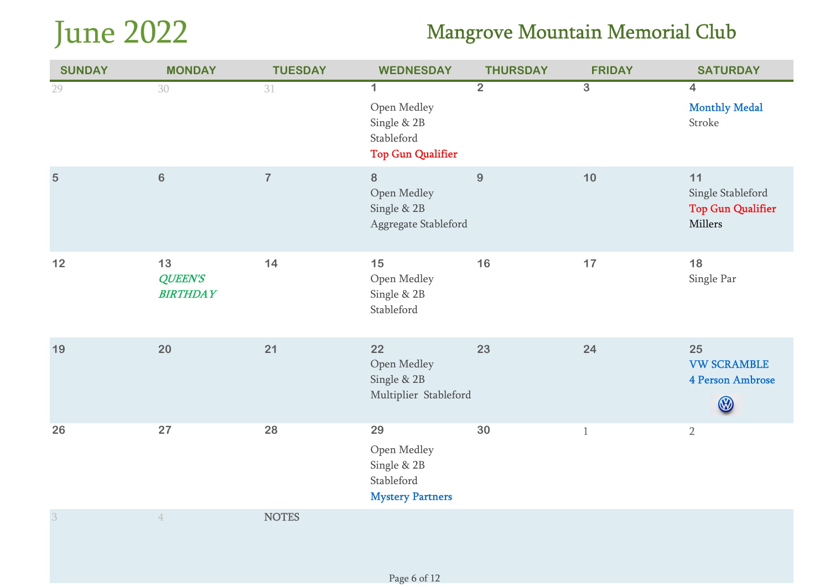# June 2022

| <b>SUNDAY</b>  | <b>MONDAY</b>                           | <b>TUESDAY</b> | <b>WEDNESDAY</b>                                                                    | <b>THURSDAY</b> | <b>FRIDAY</b>  | <b>SATURDAY</b>                                                |
|----------------|-----------------------------------------|----------------|-------------------------------------------------------------------------------------|-----------------|----------------|----------------------------------------------------------------|
| 29             | 30                                      | 31             | $\mathbf 1$<br>Open Medley<br>Single & 2B<br>Stableford<br><b>Top Gun Qualifier</b> | $\overline{2}$  | $\overline{3}$ | $\overline{4}$<br><b>Monthly Medal</b><br>Stroke               |
| 5              | $\bf 6$                                 | $\overline{I}$ | 8<br>Open Medley<br>Single & 2B<br>Aggregate Stableford                             | $9\,$           | $10$           | 11<br>Single Stableford<br><b>Top Gun Qualifier</b><br>Millers |
| $12$           | 13<br><b>QUEEN'S</b><br><b>BIRTHDAY</b> | 14             | 15<br>Open Medley<br>Single & 2B<br>Stableford                                      | 16              | 17             | 18<br>Single Par                                               |
| 19             | 20                                      | 21             | 22<br>Open Medley<br>Single & 2B<br>Multiplier Stableford                           | 23              | 24             | 25<br><b>VW SCRAMBLE</b><br>4 Person Ambrose<br>W              |
| 26             | 27                                      | 28             | 29<br>Open Medley<br>Single & 2B<br>Stableford<br><b>Mystery Partners</b>           | 30              | $\mathbf{1}$   | $\overline{2}$                                                 |
| $\overline{3}$ | $\overline{4}$                          | <b>NOTES</b>   |                                                                                     |                 |                |                                                                |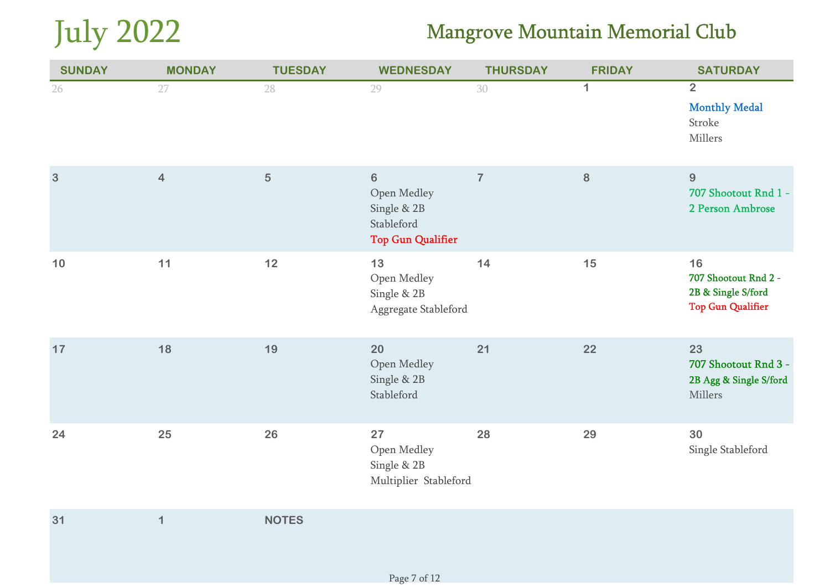

| <b>SUNDAY</b>  | <b>MONDAY</b>           | <b>TUESDAY</b> | <b>WEDNESDAY</b>                                                                | <b>THURSDAY</b> | <b>FRIDAY</b> | <b>SATURDAY</b>                                                              |
|----------------|-------------------------|----------------|---------------------------------------------------------------------------------|-----------------|---------------|------------------------------------------------------------------------------|
| 26             | 27                      | 28             | 29                                                                              | 30              | $\mathbf{1}$  | $\overline{2}$<br><b>Monthly Medal</b><br>Stroke<br>Millers                  |
| $\overline{3}$ | $\overline{\mathbf{4}}$ | 5              | $\bf 6$<br>Open Medley<br>Single & 2B<br>Stableford<br><b>Top Gun Qualifier</b> | $\overline{7}$  | $\bf{8}$      | $\overline{9}$<br>707 Shootout Rnd 1 -<br>2 Person Ambrose                   |
| 10             | 11                      | 12             | 13<br>Open Medley<br>Single & 2B<br>Aggregate Stableford                        | 14              | 15            | 16<br>707 Shootout Rnd 2 -<br>2B & Single S/ford<br><b>Top Gun Qualifier</b> |
| 17             | 18                      | 19             | 20<br>Open Medley<br>Single & 2B<br>Stableford                                  | 21              | 22            | 23<br>707 Shootout Rnd 3 -<br>2B Agg & Single S/ford<br>Millers              |
| 24             | 25                      | 26             | 27<br>Open Medley<br>Single & 2B<br>Multiplier Stableford                       | 28              | 29            | 30<br>Single Stableford                                                      |
| 31             | $\mathbf 1$             | <b>NOTES</b>   |                                                                                 |                 |               |                                                                              |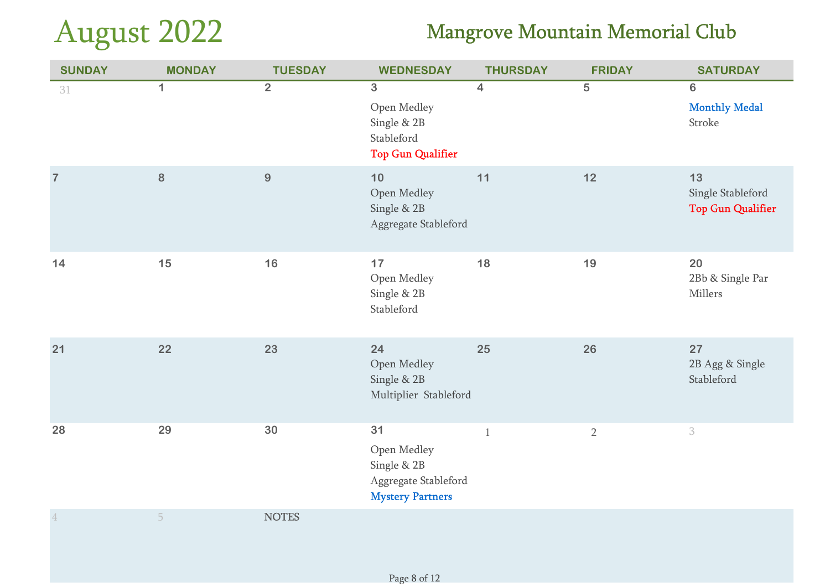# August 2022

| <b>SUNDAY</b>  | <b>MONDAY</b>  | <b>TUESDAY</b> | <b>WEDNESDAY</b>                                                                       | <b>THURSDAY</b> | <b>FRIDAY</b>  | <b>SATURDAY</b>                                     |
|----------------|----------------|----------------|----------------------------------------------------------------------------------------|-----------------|----------------|-----------------------------------------------------|
| 31             | $\overline{1}$ | $\overline{2}$ | $\overline{3}$<br>Open Medley<br>Single & 2B<br>Stableford<br><b>Top Gun Qualifier</b> | $\overline{4}$  | $\overline{5}$ | $\overline{6}$<br><b>Monthly Medal</b><br>Stroke    |
| $\overline{7}$ | $\bf 8$        | $9\,$          | 10<br>Open Medley<br>Single & 2B<br>Aggregate Stableford                               | 11              | $12$           | 13<br>Single Stableford<br><b>Top Gun Qualifier</b> |
| 14             | 15             | 16             | 17<br>Open Medley<br>Single & 2B<br>Stableford                                         | 18              | 19             | 20<br>2Bb & Single Par<br>Millers                   |
| 21             | 22             | 23             | 24<br>Open Medley<br>Single & 2B<br>Multiplier Stableford                              | 25              | 26             | 27<br>2B Agg & Single<br>Stableford                 |
| 28             | 29             | 30             | 31<br>Open Medley<br>Single & 2B<br>Aggregate Stableford<br><b>Mystery Partners</b>    | $\mathbf{1}$    | $\overline{2}$ | $\ensuremath{\mathbf{3}}$                           |
| $\overline{4}$ | 5              | <b>NOTES</b>   |                                                                                        |                 |                |                                                     |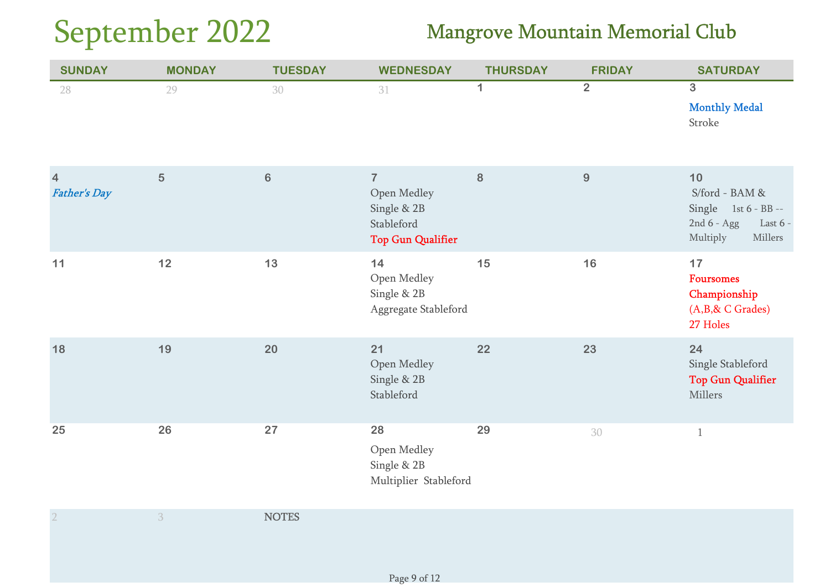# September 2022

| <b>SUNDAY</b>                         | <b>MONDAY</b> | <b>TUESDAY</b> | <b>WEDNESDAY</b>                                                                       | <b>THURSDAY</b> | <b>FRIDAY</b>  | <b>SATURDAY</b>                                                                                       |
|---------------------------------------|---------------|----------------|----------------------------------------------------------------------------------------|-----------------|----------------|-------------------------------------------------------------------------------------------------------|
| 28                                    | 29            | 30             | 31                                                                                     | $\mathbf{1}$    | $\overline{2}$ | $\overline{3}$<br><b>Monthly Medal</b><br>Stroke                                                      |
| $\overline{4}$<br><b>Father's Day</b> | 5             | $6\phantom{a}$ | $\overline{7}$<br>Open Medley<br>Single & 2B<br>Stableford<br><b>Top Gun Qualifier</b> | $\bf 8$         | 9              | $10$<br>S/ford - BAM &<br>Single $1st 6 - BB -$<br>2nd $6 - Agg$<br>Last $6 -$<br>Multiply<br>Millers |
| 11                                    | 12            | 13             | 14<br>Open Medley<br>Single & 2B<br>Aggregate Stableford                               | 15              | 16             | 17<br><b>Foursomes</b><br>Championship<br>$(A,B,\& C \; Grades)$<br>27 Holes                          |
| 18                                    | 19            | 20             | 21<br>Open Medley<br>Single & 2B<br>Stableford                                         | 22              | 23             | 24<br>Single Stableford<br><b>Top Gun Qualifier</b><br>Millers                                        |
| 25                                    | 26            | 27             | 28<br>Open Medley<br>Single & 2B<br>Multiplier Stableford                              | 29              | 30             | $\mathbf{1}$                                                                                          |
| $2\,$                                 | 3             | <b>NOTES</b>   |                                                                                        |                 |                |                                                                                                       |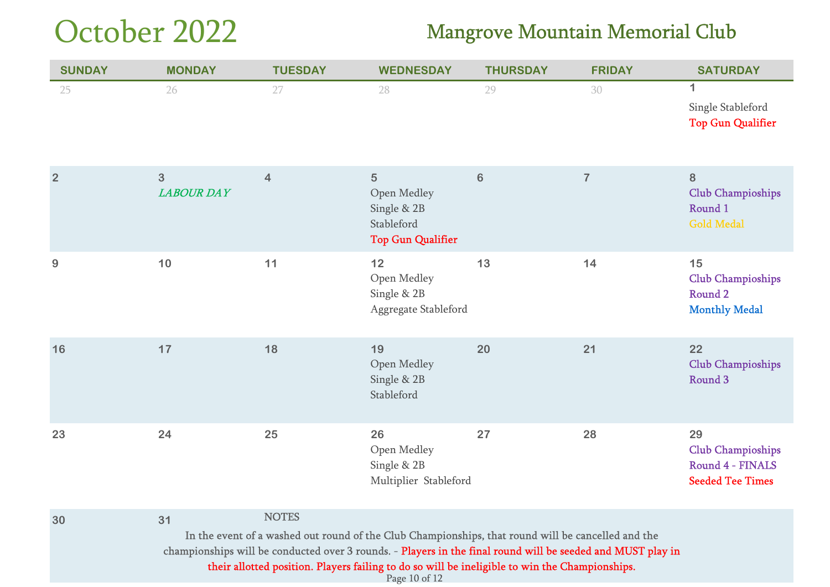# October 2022

### Mangrove Mountain Memorial Club

| <b>SUNDAY</b>  | <b>MONDAY</b>          | <b>TUESDAY</b>                                                                                                                                                                                                                                                                                                                      | <b>WEDNESDAY</b>                                                          | <b>THURSDAY</b> | <b>FRIDAY</b>  | <b>SATURDAY</b>                                                               |
|----------------|------------------------|-------------------------------------------------------------------------------------------------------------------------------------------------------------------------------------------------------------------------------------------------------------------------------------------------------------------------------------|---------------------------------------------------------------------------|-----------------|----------------|-------------------------------------------------------------------------------|
| 25             | 26                     | 27                                                                                                                                                                                                                                                                                                                                  | 28                                                                        | 29              | 30             | $\mathbf 1$<br>Single Stableford<br><b>Top Gun Qualifier</b>                  |
| $\overline{2}$ | 3<br><b>LABOUR DAY</b> | 4                                                                                                                                                                                                                                                                                                                                   | 5<br>Open Medley<br>Single & 2B<br>Stableford<br><b>Top Gun Qualifier</b> | $6\phantom{1}$  | $\overline{7}$ | 8<br><b>Club Champioships</b><br>Round 1<br><b>Gold Medal</b>                 |
| $9$            | 10                     | 11                                                                                                                                                                                                                                                                                                                                  | 12<br>Open Medley<br>Single & 2B<br>Aggregate Stableford                  | 13              | 14             | 15<br><b>Club Champioships</b><br>Round <sub>2</sub><br><b>Monthly Medal</b>  |
| 16             | 17                     | 18                                                                                                                                                                                                                                                                                                                                  | 19<br>Open Medley<br>Single & 2B<br>Stableford                            | 20              | 21             | 22<br><b>Club Champioships</b><br>Round <sub>3</sub>                          |
| 23             | 24                     | 25                                                                                                                                                                                                                                                                                                                                  | 26<br>Open Medley<br>Single & 2B<br>Multiplier Stableford                 | 27              | 28             | 29<br><b>Club Champioships</b><br>Round 4 - FINALS<br><b>Seeded Tee Times</b> |
| 30             | 31                     | <b>NOTES</b><br>In the event of a washed out round of the Club Championships, that round will be cancelled and the<br>championships will be conducted over 3 rounds. - Players in the final round will be seeded and MUST play in<br>their allotted position. Players failing to do so will be ineligible to win the Championships. |                                                                           |                 |                |                                                                               |

Page 10 of 12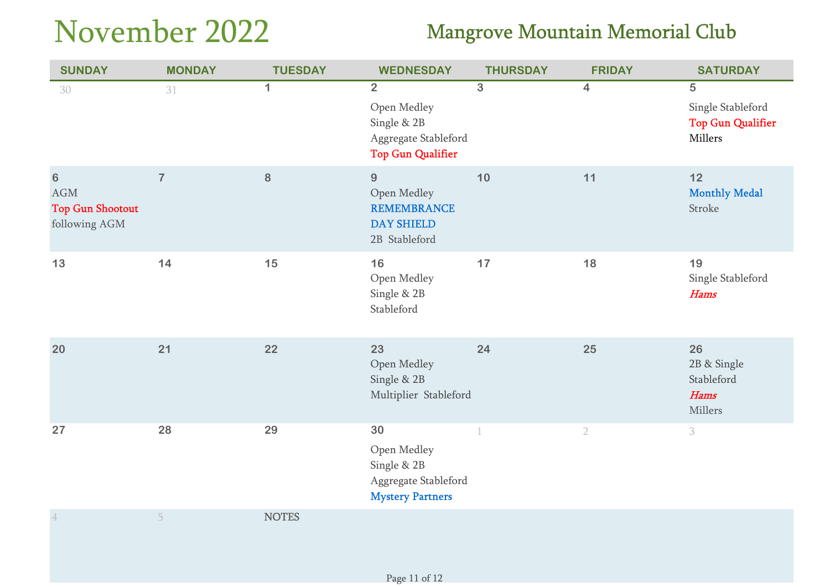# November 2022

| <b>SUNDAY</b>                                                     | <b>MONDAY</b>  | <b>TUESDAY</b> | <b>WEDNESDAY</b>                                                                                 | <b>THURSDAY</b> | <b>FRIDAY</b>  | <b>SATURDAY</b>                                                            |
|-------------------------------------------------------------------|----------------|----------------|--------------------------------------------------------------------------------------------------|-----------------|----------------|----------------------------------------------------------------------------|
| 30                                                                | 31             | $\mathbf 1$    | $\overline{2}$<br>Open Medley<br>Single & 2B<br>Aggregate Stableford<br><b>Top Gun Qualifier</b> | $\overline{3}$  | $\overline{4}$ | $\overline{5}$<br>Single Stableford<br><b>Top Gun Qualifier</b><br>Millers |
| $\bf 6$<br>$\rm{AGM}$<br><b>Top Gun Shootout</b><br>following AGM | $\overline{7}$ | 8              | 9<br>Open Medley<br><b>REMEMBRANCE</b><br><b>DAY SHIELD</b><br>2B Stableford                     | 10              | 11             | 12<br><b>Monthly Medal</b><br>Stroke                                       |
| 13                                                                | 14             | 15             | 16<br>Open Medley<br>Single & 2B<br>Stableford                                                   | 17              | 18             | 19<br>Single Stableford<br><b>Hams</b>                                     |
| 20                                                                | 21             | 22             | 23<br>Open Medley<br>Single & 2B<br>Multiplier Stableford                                        | 24              | 25             | 26<br>2B & Single<br>Stableford<br><b>Hams</b><br>Millers                  |
| 27                                                                | 28             | 29             | 30<br>Open Medley<br>Single & 2B<br>Aggregate Stableford<br><b>Mystery Partners</b>              |                 | $\overline{2}$ | 3                                                                          |
| $\ensuremath{4}$                                                  | 5              | <b>NOTES</b>   |                                                                                                  |                 |                |                                                                            |